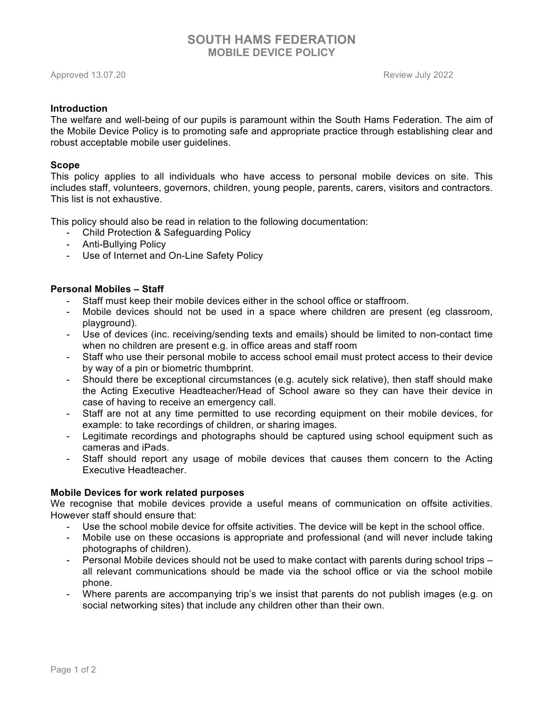# **SOUTH HAMS FEDERATION MOBILE DEVICE POLICY**

Approved 13.07.20 Review July 2022

# **Introduction**

The welfare and well-being of our pupils is paramount within the South Hams Federation. The aim of the Mobile Device Policy is to promoting safe and appropriate practice through establishing clear and robust acceptable mobile user guidelines.

## **Scope**

This policy applies to all individuals who have access to personal mobile devices on site. This includes staff, volunteers, governors, children, young people, parents, carers, visitors and contractors. This list is not exhaustive.

This policy should also be read in relation to the following documentation:

- Child Protection & Safeguarding Policy
- Anti-Bullying Policy
- Use of Internet and On-Line Safety Policy

# **Personal Mobiles – Staff**

- Staff must keep their mobile devices either in the school office or staffroom.
- Mobile devices should not be used in a space where children are present (eg classroom, playground).
- Use of devices (inc. receiving/sending texts and emails) should be limited to non-contact time when no children are present e.g. in office areas and staff room
- Staff who use their personal mobile to access school email must protect access to their device by way of a pin or biometric thumbprint.
- Should there be exceptional circumstances (e.g. acutely sick relative), then staff should make the Acting Executive Headteacher/Head of School aware so they can have their device in case of having to receive an emergency call.
- Staff are not at any time permitted to use recording equipment on their mobile devices, for example: to take recordings of children, or sharing images.
- Legitimate recordings and photographs should be captured using school equipment such as cameras and iPads.
- Staff should report any usage of mobile devices that causes them concern to the Acting Executive Headteacher.

# **Mobile Devices for work related purposes**

We recognise that mobile devices provide a useful means of communication on offsite activities. However staff should ensure that:

- Use the school mobile device for offsite activities. The device will be kept in the school office.
- Mobile use on these occasions is appropriate and professional (and will never include taking photographs of children).
- Personal Mobile devices should not be used to make contact with parents during school trips all relevant communications should be made via the school office or via the school mobile phone.
- Where parents are accompanying trip's we insist that parents do not publish images (e.g. on social networking sites) that include any children other than their own.